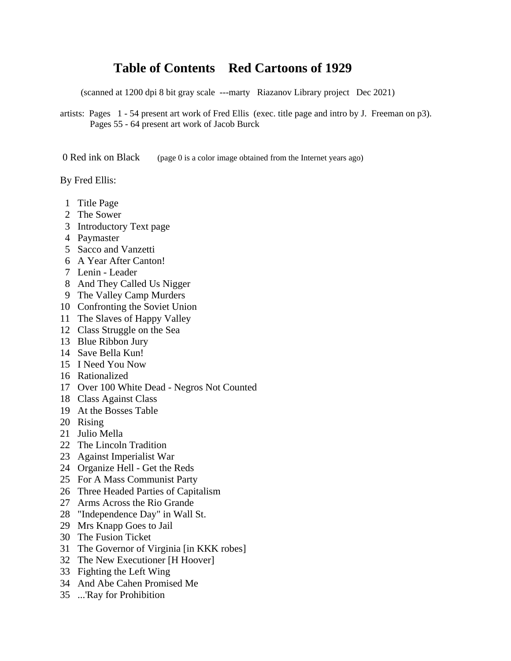## **Table of Contents Red Cartoons of 1929**

(scanned at 1200 dpi 8 bit gray scale ---marty Riazanov Library project Dec 2021)

artists: Pages 1 - 54 present art work of Fred Ellis (exec. title page and intro by J. Freeman on p3). Pages 55 - 64 present art work of Jacob Burck

0 Red ink on Black (page 0 is a color image obtained from the Internet years ago)

By Fred Ellis:

- 1 Title Page
- 2 The Sower
- 3 Introductory Text page
- 4 Paymaster
- 5 Sacco and Vanzetti
- 6 A Year After Canton!
- 7 Lenin Leader
- 8 And They Called Us Nigger
- 9 The Valley Camp Murders
- 10 Confronting the Soviet Union
- 11 The Slaves of Happy Valley
- 12 Class Struggle on the Sea
- 13 Blue Ribbon Jury
- 14 Save Bella Kun!
- 15 I Need You Now
- 16 Rationalized
- 17 Over 100 White Dead Negros Not Counted
- 18 Class Against Class
- 19 At the Bosses Table
- 20 Rising
- 21 Julio Mella
- 22 The Lincoln Tradition
- 23 Against Imperialist War
- 24 Organize Hell Get the Reds
- 25 For A Mass Communist Party
- 26 Three Headed Parties of Capitalism
- 27 Arms Across the Rio Grande
- 28 "Independence Day" in Wall St.
- 29 Mrs Knapp Goes to Jail
- 30 The Fusion Ticket
- 31 The Governor of Virginia [in KKK robes]
- 32 The New Executioner [H Hoover]
- 33 Fighting the Left Wing
- 34 And Abe Cahen Promised Me
- 35 ...'Ray for Prohibition